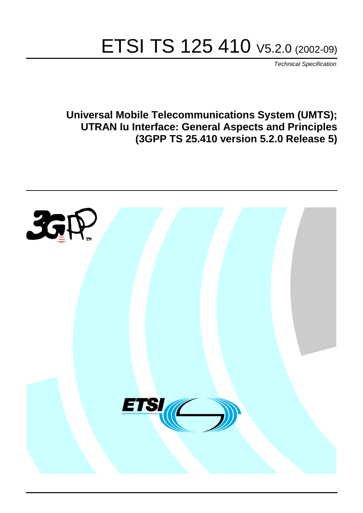# ETSI TS 125 410 V5.2.0 (2002-09)

Technical Specification

**Universal Mobile Telecommunications System (UMTS); UTRAN Iu Interface: General Aspects and Principles (3GPP TS 25.410 version 5.2.0 Release 5)**

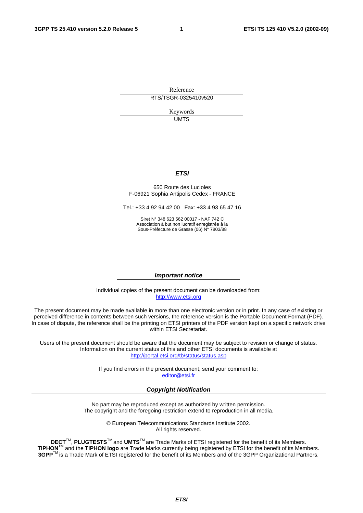Reference RTS/TSGR-0325410v520

> Keywords UMTS

#### **ETSI**

#### 650 Route des Lucioles F-06921 Sophia Antipolis Cedex - FRANCE

Tel.: +33 4 92 94 42 00 Fax: +33 4 93 65 47 16

Siret N° 348 623 562 00017 - NAF 742 C Association à but non lucratif enregistrée à la Sous-Préfecture de Grasse (06) N° 7803/88

#### **Important notice**

Individual copies of the present document can be downloaded from: [http://www.etsi.org](http://www.etsi.org/)

The present document may be made available in more than one electronic version or in print. In any case of existing or perceived difference in contents between such versions, the reference version is the Portable Document Format (PDF). In case of dispute, the reference shall be the printing on ETSI printers of the PDF version kept on a specific network drive within ETSI Secretariat.

Users of the present document should be aware that the document may be subject to revision or change of status. Information on the current status of this and other ETSI documents is available at <http://portal.etsi.org/tb/status/status.asp>

> If you find errors in the present document, send your comment to: [editor@etsi.fr](mailto:editor@etsi.fr)

#### **Copyright Notification**

No part may be reproduced except as authorized by written permission. The copyright and the foregoing restriction extend to reproduction in all media.

> © European Telecommunications Standards Institute 2002. All rights reserved.

**DECT**TM, **PLUGTESTS**TM and **UMTS**TM are Trade Marks of ETSI registered for the benefit of its Members. **TIPHON**TM and the **TIPHON logo** are Trade Marks currently being registered by ETSI for the benefit of its Members. **3GPP**TM is a Trade Mark of ETSI registered for the benefit of its Members and of the 3GPP Organizational Partners.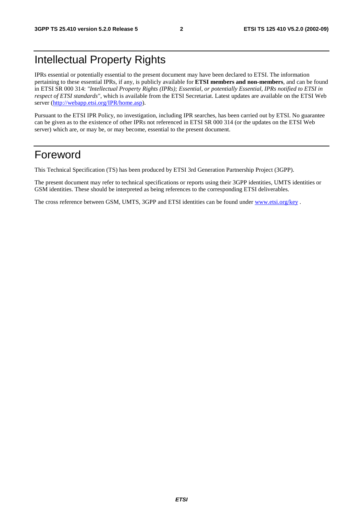## Intellectual Property Rights

IPRs essential or potentially essential to the present document may have been declared to ETSI. The information pertaining to these essential IPRs, if any, is publicly available for **ETSI members and non-members**, and can be found in ETSI SR 000 314: *"Intellectual Property Rights (IPRs); Essential, or potentially Essential, IPRs notified to ETSI in respect of ETSI standards"*, which is available from the ETSI Secretariat. Latest updates are available on the ETSI Web server ([http://webapp.etsi.org/IPR/home.asp\)](http://webapp.etsi.org/IPR/home.asp).

Pursuant to the ETSI IPR Policy, no investigation, including IPR searches, has been carried out by ETSI. No guarantee can be given as to the existence of other IPRs not referenced in ETSI SR 000 314 (or the updates on the ETSI Web server) which are, or may be, or may become, essential to the present document.

### Foreword

This Technical Specification (TS) has been produced by ETSI 3rd Generation Partnership Project (3GPP).

The present document may refer to technical specifications or reports using their 3GPP identities, UMTS identities or GSM identities. These should be interpreted as being references to the corresponding ETSI deliverables.

The cross reference between GSM, UMTS, 3GPP and ETSI identities can be found under [www.etsi.org/key](http://www.etsi.org/key) .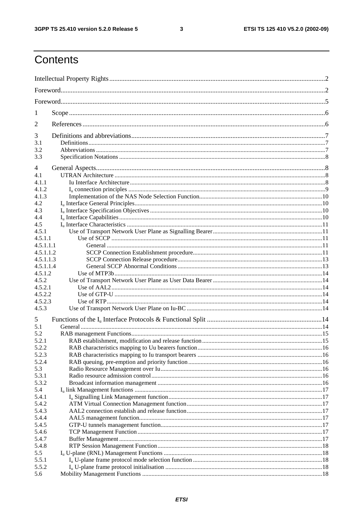$\mathbf{3}$ 

## Contents

| 1                  |  |  |  |  |  |  |  |
|--------------------|--|--|--|--|--|--|--|
| $\overline{2}$     |  |  |  |  |  |  |  |
| 3                  |  |  |  |  |  |  |  |
| 3.1                |  |  |  |  |  |  |  |
| 3.2<br>3.3         |  |  |  |  |  |  |  |
|                    |  |  |  |  |  |  |  |
| 4<br>4.1           |  |  |  |  |  |  |  |
| 4.1.1              |  |  |  |  |  |  |  |
| 4.1.2              |  |  |  |  |  |  |  |
| 4.1.3              |  |  |  |  |  |  |  |
| 4.2                |  |  |  |  |  |  |  |
| 4.3                |  |  |  |  |  |  |  |
| 4.4                |  |  |  |  |  |  |  |
| 4.5                |  |  |  |  |  |  |  |
| 4.5.1              |  |  |  |  |  |  |  |
| 4.5.1.1            |  |  |  |  |  |  |  |
| 4.5.1.1.1          |  |  |  |  |  |  |  |
| 4.5.1.1.2          |  |  |  |  |  |  |  |
| 4.5.1.1.3          |  |  |  |  |  |  |  |
| 4.5.1.1.4          |  |  |  |  |  |  |  |
| 4.5.1.2            |  |  |  |  |  |  |  |
| 4.5.2              |  |  |  |  |  |  |  |
| 4.5.2.1<br>4.5.2.2 |  |  |  |  |  |  |  |
| 4.5.2.3            |  |  |  |  |  |  |  |
| 4.5.3              |  |  |  |  |  |  |  |
|                    |  |  |  |  |  |  |  |
| 5<br>5.1           |  |  |  |  |  |  |  |
| 5.2                |  |  |  |  |  |  |  |
| 5.2.1              |  |  |  |  |  |  |  |
| 5.2.2              |  |  |  |  |  |  |  |
| 5.2.3              |  |  |  |  |  |  |  |
| 5.2.4              |  |  |  |  |  |  |  |
| 5.3                |  |  |  |  |  |  |  |
| 5.3.1              |  |  |  |  |  |  |  |
| 5.3.2              |  |  |  |  |  |  |  |
| 5.4                |  |  |  |  |  |  |  |
| 5.4.1              |  |  |  |  |  |  |  |
| 5.4.2              |  |  |  |  |  |  |  |
| 5.4.3              |  |  |  |  |  |  |  |
| 5.4.4              |  |  |  |  |  |  |  |
| 5.4.5              |  |  |  |  |  |  |  |
| 5.4.6              |  |  |  |  |  |  |  |
| 5.4.7<br>5.4.8     |  |  |  |  |  |  |  |
| 5.5                |  |  |  |  |  |  |  |
| 5.5.1              |  |  |  |  |  |  |  |
| 5.5.2              |  |  |  |  |  |  |  |
| 5.6                |  |  |  |  |  |  |  |
|                    |  |  |  |  |  |  |  |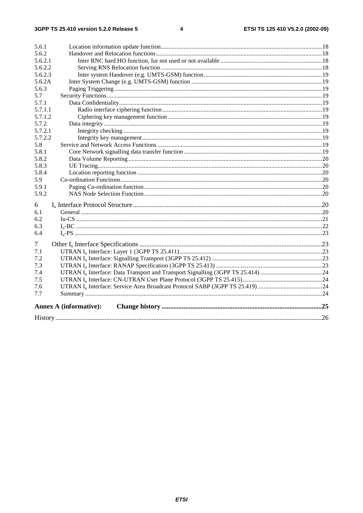| 5.6.1   |                               |    |  |  |  |  |  |
|---------|-------------------------------|----|--|--|--|--|--|
| 5.6.2   |                               |    |  |  |  |  |  |
| 5.6.2.1 |                               |    |  |  |  |  |  |
| 5.6.2.2 |                               |    |  |  |  |  |  |
| 5.6.2.3 |                               |    |  |  |  |  |  |
| 5.6.2A  |                               |    |  |  |  |  |  |
| 5.6.3   |                               |    |  |  |  |  |  |
| 5.7     |                               |    |  |  |  |  |  |
| 5.7.1   |                               |    |  |  |  |  |  |
| 5.7.1.1 |                               |    |  |  |  |  |  |
| 5.7.1.2 |                               |    |  |  |  |  |  |
| 5.7.2   |                               |    |  |  |  |  |  |
| 5.7.2.1 |                               |    |  |  |  |  |  |
| 5.7.2.2 |                               |    |  |  |  |  |  |
| 5.8     |                               |    |  |  |  |  |  |
| 5.8.1   |                               |    |  |  |  |  |  |
| 5.8.2   |                               |    |  |  |  |  |  |
| 5.8.3   |                               |    |  |  |  |  |  |
| 5.8.4   |                               |    |  |  |  |  |  |
| 5.9     |                               |    |  |  |  |  |  |
| 5.9.1   |                               |    |  |  |  |  |  |
| 5.9.2   |                               |    |  |  |  |  |  |
| 6       |                               |    |  |  |  |  |  |
| 6.1     |                               |    |  |  |  |  |  |
| 6.2     |                               |    |  |  |  |  |  |
| 6.3     |                               |    |  |  |  |  |  |
| 6.4     |                               |    |  |  |  |  |  |
| $\tau$  |                               |    |  |  |  |  |  |
| 7.1     |                               |    |  |  |  |  |  |
| 7.2     |                               |    |  |  |  |  |  |
| 7.3     |                               |    |  |  |  |  |  |
| 7.4     |                               |    |  |  |  |  |  |
| 7.5     |                               |    |  |  |  |  |  |
| 7.6     |                               |    |  |  |  |  |  |
| 7.7     |                               |    |  |  |  |  |  |
|         | <b>Annex A (informative):</b> |    |  |  |  |  |  |
|         |                               | 26 |  |  |  |  |  |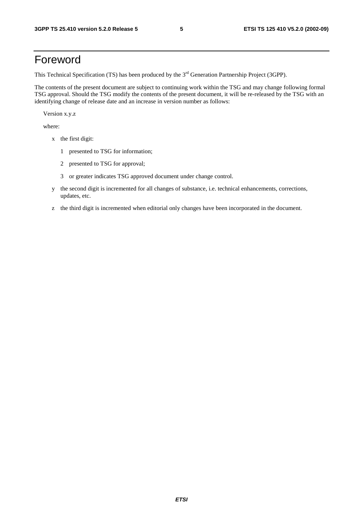## Foreword

This Technical Specification (TS) has been produced by the 3<sup>rd</sup> Generation Partnership Project (3GPP).

The contents of the present document are subject to continuing work within the TSG and may change following formal TSG approval. Should the TSG modify the contents of the present document, it will be re-released by the TSG with an identifying change of release date and an increase in version number as follows:

Version x.y.z

where:

- x the first digit:
	- 1 presented to TSG for information;
	- 2 presented to TSG for approval;
	- 3 or greater indicates TSG approved document under change control.
- y the second digit is incremented for all changes of substance, i.e. technical enhancements, corrections, updates, etc.
- z the third digit is incremented when editorial only changes have been incorporated in the document.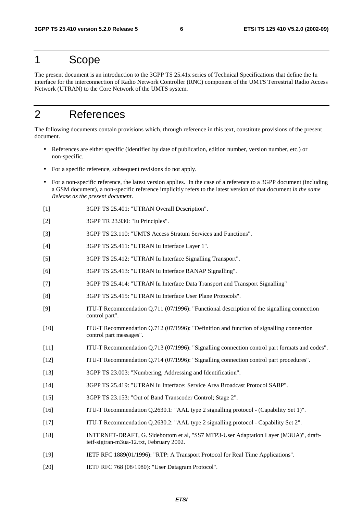### 1 Scope

The present document is an introduction to the 3GPP TS 25.41x series of Technical Specifications that define the Iu interface for the interconnection of Radio Network Controller (RNC) component of the UMTS Terrestrial Radio Access Network (UTRAN) to the Core Network of the UMTS system.

## 2 References

The following documents contain provisions which, through reference in this text, constitute provisions of the present document.

- References are either specific (identified by date of publication, edition number, version number, etc.) or non-specific.
- For a specific reference, subsequent revisions do not apply.
- For a non-specific reference, the latest version applies. In the case of a reference to a 3GPP document (including a GSM document), a non-specific reference implicitly refers to the latest version of that document *in the same Release as the present document*.
- [1] 3GPP TS 25.401: "UTRAN Overall Description".
- [2] 3GPP TR 23.930: "Iu Principles".
- [3] 3GPP TS 23.110: "UMTS Access Stratum Services and Functions".
- [4] 3GPP TS 25.411: "UTRAN Iu Interface Layer 1".
- [5] 3GPP TS 25.412: "UTRAN Iu Interface Signalling Transport".
- [6] 3GPP TS 25.413: "UTRAN Iu Interface RANAP Signalling".
- [7] 3GPP TS 25.414: "UTRAN Iu Interface Data Transport and Transport Signalling"
- [8] 3GPP TS 25.415: "UTRAN Iu Interface User Plane Protocols".
- [9] ITU-T Recommendation Q.711 (07/1996): "Functional description of the signalling connection control part".
- [10] ITU-T Recommendation Q.712 (07/1996): "Definition and function of signalling connection control part messages".
- [11] ITU-T Recommendation Q.713 (07/1996): "Signalling connection control part formats and codes".
- [12] ITU-T Recommendation Q.714 (07/1996): "Signalling connection control part procedures".
- [13] 3GPP TS 23.003: "Numbering, Addressing and Identification".
- [14] 3GPP TS 25.419: "UTRAN Iu Interface: Service Area Broadcast Protocol SABP".
- [15] 3GPP TS 23.153: "Out of Band Transcoder Control; Stage 2".
- [16] ITU-T Recommendation Q.2630.1: "AAL type 2 signalling protocol (Capability Set 1)".
- [17] ITU-T Recommendation Q.2630.2: "AAL type 2 signalling protocol Capability Set 2".
- [18] INTERNET-DRAFT, G. Sidebottom et al, "SS7 MTP3-User Adaptation Layer (M3UA)", draftietf-sigtran-m3ua-12.txt, February 2002.
- [19] IETF RFC 1889(01/1996): "RTP: A Transport Protocol for Real Time Applications".
- [20] IETF RFC 768 (08/1980): "User Datagram Protocol".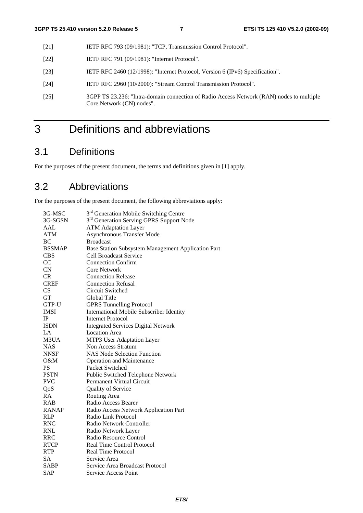- [21] IETF RFC 793 (09/1981): "TCP, Transmission Control Protocol".
- [22] **IETF RFC 791 (09/1981): "Internet Protocol".**
- [23] IETF RFC 2460 (12/1998): "Internet Protocol, Version 6 (IPv6) Specification".
- [24] IETF RFC 2960 (10/2000): "Stream Control Transmission Protocol".
- [25] 3GPP TS 23.236: "Intra-domain connection of Radio Access Network (RAN) nodes to multiple Core Network (CN) nodes".

## 3 Definitions and abbreviations

### 3.1 Definitions

For the purposes of the present document, the terms and definitions given in [1] apply.

### 3.2 Abbreviations

For the purposes of the present document, the following abbreviations apply:

| 3G-MSC        | 3 <sup>rd</sup> Generation Mobile Switching Centre   |
|---------------|------------------------------------------------------|
| 3G-SGSN       | 3 <sup>rd</sup> Generation Serving GPRS Support Node |
| AAL           | <b>ATM Adaptation Layer</b>                          |
| <b>ATM</b>    | <b>Asynchronous Transfer Mode</b>                    |
| BC            | <b>Broadcast</b>                                     |
| <b>BSSMAP</b> | Base Station Subsystem Management Application Part   |
| <b>CBS</b>    | <b>Cell Broadcast Service</b>                        |
| CC            | <b>Connection Confirm</b>                            |
| CN            | <b>Core Network</b>                                  |
| <b>CR</b>     | <b>Connection Release</b>                            |
| <b>CREF</b>   | <b>Connection Refusal</b>                            |
| CS            | Circuit Switched                                     |
| <b>GT</b>     | Global Title                                         |
| GTP-U         | <b>GPRS Tunnelling Protocol</b>                      |
| <b>IMSI</b>   | <b>International Mobile Subscriber Identity</b>      |
| IP            | <b>Internet Protocol</b>                             |
| <b>ISDN</b>   | <b>Integrated Services Digital Network</b>           |
| LA            | <b>Location Area</b>                                 |
| M3UA          | MTP3 User Adaptation Layer                           |
| <b>NAS</b>    | Non Access Stratum                                   |
| <b>NNSF</b>   | <b>NAS Node Selection Function</b>                   |
| $O\&M$        | <b>Operation and Maintenance</b>                     |
| <b>PS</b>     | Packet Switched                                      |
| <b>PSTN</b>   | Public Switched Telephone Network                    |
| <b>PVC</b>    | Permanent Virtual Circuit                            |
| QoS           | <b>Quality of Service</b>                            |
| RA            | Routing Area                                         |
| <b>RAB</b>    | Radio Access Bearer                                  |
| <b>RANAP</b>  | Radio Access Network Application Part                |
| <b>RLP</b>    | Radio Link Protocol                                  |
| <b>RNC</b>    | Radio Network Controller                             |
| <b>RNL</b>    | Radio Network Layer                                  |
| <b>RRC</b>    | Radio Resource Control                               |
| <b>RTCP</b>   | <b>Real Time Control Protocol</b>                    |
| <b>RTP</b>    | <b>Real Time Protocol</b>                            |
| <b>SA</b>     | Service Area                                         |
| <b>SABP</b>   | Service Area Broadcast Protocol                      |
| <b>SAP</b>    | <b>Service Access Point</b>                          |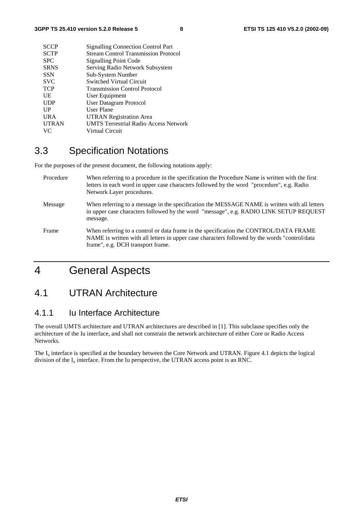| <b>SCCP</b><br><b>Signalling Connection Control Part</b>     |  |
|--------------------------------------------------------------|--|
| <b>SCTP</b><br><b>Stream Control Transmission Protocol</b>   |  |
| <b>SPC</b><br><b>Signalling Point Code</b>                   |  |
| Serving Radio Network Subsystem<br><b>SRNS</b>               |  |
| <b>SSN</b><br>Sub-System Number                              |  |
| <b>SVC</b><br>Switched Virtual Circuit                       |  |
| <b>TCP</b><br><b>Transmission Control Protocol</b>           |  |
| UE<br>User Equipment                                         |  |
| <b>User Datagram Protocol</b><br><b>UDP</b>                  |  |
| UP<br>User Plane                                             |  |
| <b>URA</b><br><b>UTRAN Registration Area</b>                 |  |
| <b>UMTS Terrestrial Radio Access Network</b><br><b>UTRAN</b> |  |
| VC.<br>Virtual Circuit                                       |  |

## 3.3 Specification Notations

For the purposes of the present document, the following notations apply:

| Procedure | When referring to a procedure in the specification the Procedure Name is written with the first<br>letters in each word in upper case characters followed by the word "procedure", e.g. Radio<br>Network Layer procedures.   |
|-----------|------------------------------------------------------------------------------------------------------------------------------------------------------------------------------------------------------------------------------|
| Message   | When referring to a message in the specification the MESSAGE NAME is written with all letters<br>in upper case characters followed by the word "message", e.g. RADIO LINK SETUP REQUEST<br>message.                          |
| Frame     | When referring to a control or data frame in the specification the CONTROL/DATA FRAME<br>NAME is written with all letters in upper case characters followed by the words "control/data"<br>frame", e.g. DCH transport frame. |

## 4 General Aspects

### 4.1 UTRAN Architecture

#### 4.1.1 Iu Interface Architecture

The overall UMTS architecture and UTRAN architectures are described in [1]. This subclause specifies only the architecture of the Iu interface, and shall not constrain the network architecture of either Core or Radio Access Networks.

The I<sub>u</sub> interface is specified at the boundary between the Core Network and UTRAN. Figure 4.1 depicts the logical division of the  $I_u$  interface. From the Iu perspective, the UTRAN access point is an RNC.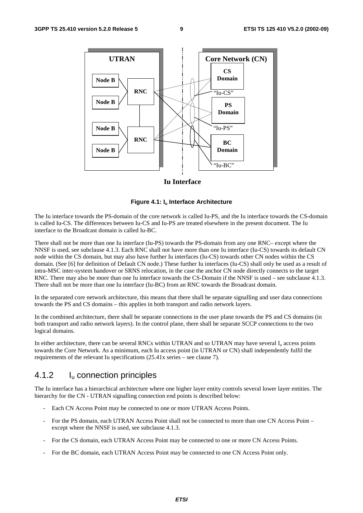

#### **Iu Interface**

#### **Figure 4.1: Iu Interface Architecture**

The Iu interface towards the PS-domain of the core network is called Iu-PS, and the Iu interface towards the CS-domain is called Iu-CS. The differences between Iu-CS and Iu-PS are treated elsewhere in the present document. The Iu interface to the Broadcast domain is called Iu-BC.

There shall not be more than one Iu interface (Iu-PS) towards the PS-domain from any one RNC– except where the NNSF is used, see subclause 4.1.3. Each RNC shall not have more than one Iu interface (Iu-CS) towards its default CN node within the CS domain, but may also have further Iu interfaces (Iu-CS) towards other CN nodes within the CS domain. (See [6] for definition of Default CN node.) These further Iu interfaces (Iu-CS) shall only be used as a result of intra-MSC inter-system handover or SRNS relocation, in the case the anchor CN node directly connects to the target RNC. There may also be more than one Iu interface towards the CS-Domain if the NNSF is used – see subclause 4.1.3. There shall not be more than one Iu interface (Iu-BC) from an RNC towards the Broadcast domain.

In the separated core network architecture, this means that there shall be separate signalling and user data connections towards the PS and CS domains – this applies in both transport and radio network layers.

In the combined architecture, there shall be separate connections in the user plane towards the PS and CS domains (in both transport and radio network layers). In the control plane, there shall be separate SCCP connections to the two logical domains.

In either architecture, there can be several RNCs within UTRAN and so UTRAN may have several  $I_u$  access points towards the Core Network. As a minimum, each Iu access point (in UTRAN or CN) shall independently fulfil the requirements of the relevant Iu specifications (25.41x series – see clause 7).

#### 4.1.2 Iu connection principles

The Iu interface has a hierarchical architecture where one higher layer entity controls several lower layer entities. The hierarchy for the CN - UTRAN signalling connection end points is described below:

- Each CN Access Point may be connected to one or more UTRAN Access Points.
- For the PS domain, each UTRAN Access Point shall not be connected to more than one CN Access Point except where the NNSF is used, see subclause 4.1.3.
- For the CS domain, each UTRAN Access Point may be connected to one or more CN Access Points.
- For the BC domain, each UTRAN Access Point may be connected to one CN Access Point only.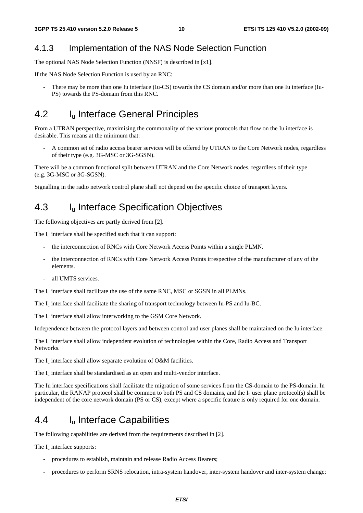#### 4.1.3 Implementation of the NAS Node Selection Function

The optional NAS Node Selection Function (NNSF) is described in [x1].

If the NAS Node Selection Function is used by an RNC:

There may be more than one Iu interface (Iu-CS) towards the CS domain and/or more than one Iu interface (Iu-PS) towards the PS-domain from this RNC.

### 4.2 I<sub>u</sub> Interface General Principles

From a UTRAN perspective, maximising the commonality of the various protocols that flow on the Iu interface is desirable. This means at the minimum that:

- A common set of radio access bearer services will be offered by UTRAN to the Core Network nodes, regardless of their type (e.g. 3G-MSC or 3G-SGSN).

There will be a common functional split between UTRAN and the Core Network nodes, regardless of their type (e.g. 3G-MSC or 3G-SGSN).

Signalling in the radio network control plane shall not depend on the specific choice of transport layers.

### 4.3 I<sub>u</sub> Interface Specification Objectives

The following objectives are partly derived from [2].

The  $I<sub>u</sub>$  interface shall be specified such that it can support:

- the interconnection of RNCs with Core Network Access Points within a single PLMN.
- the interconnection of RNCs with Core Network Access Points irrespective of the manufacturer of any of the elements.
- all UMTS services.

The  $I_{\text{u}}$  interface shall facilitate the use of the same RNC, MSC or SGSN in all PLMNs.

The  $I_{\text{u}}$  interface shall facilitate the sharing of transport technology between Iu-PS and Iu-BC.

The  $I_u$  interface shall allow interworking to the GSM Core Network.

Independence between the protocol layers and between control and user planes shall be maintained on the Iu interface.

The  $I_{\text{u}}$  interface shall allow independent evolution of technologies within the Core, Radio Access and Transport Networks.

The  $I_u$  interface shall allow separate evolution of O&M facilities.

The  $I_{\nu}$  interface shall be standardised as an open and multi-vendor interface.

The Iu interface specifications shall facilitate the migration of some services from the CS-domain to the PS-domain. In particular, the RANAP protocol shall be common to both PS and CS domains, and the  $I<sub>u</sub>$  user plane protocol(s) shall be independent of the core network domain (PS or CS), except where a specific feature is only required for one domain.

### 4.4 Iu Interface Capabilities

The following capabilities are derived from the requirements described in [2].

The  $I_{\text{u}}$  interface supports:

- procedures to establish, maintain and release Radio Access Bearers;
- procedures to perform SRNS relocation, intra-system handover, inter-system handover and inter-system change;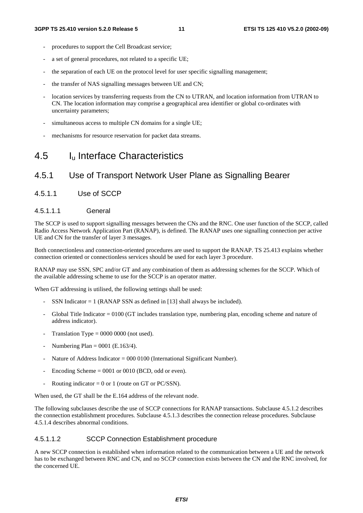- procedures to support the Cell Broadcast service;
- a set of general procedures, not related to a specific UE;
- the separation of each UE on the protocol level for user specific signalling management;
- the transfer of NAS signalling messages between UE and CN;
- location services by transferring requests from the CN to UTRAN, and location information from UTRAN to CN. The location information may comprise a geographical area identifier or global co-ordinates with uncertainty parameters;
- simultaneous access to multiple CN domains for a single UE;
- mechanisms for resource reservation for packet data streams.

### 4.5 Iu Interface Characteristics

#### 4.5.1 Use of Transport Network User Plane as Signalling Bearer

4.5.1.1 Use of SCCP

#### 4.5.1.1.1 General

The SCCP is used to support signalling messages between the CNs and the RNC. One user function of the SCCP, called Radio Access Network Application Part (RANAP), is defined. The RANAP uses one signalling connection per active UE and CN for the transfer of layer 3 messages.

Both connectionless and connection-oriented procedures are used to support the RANAP. TS 25.413 explains whether connection oriented or connectionless services should be used for each layer 3 procedure.

RANAP may use SSN, SPC and/or GT and any combination of them as addressing schemes for the SCCP. Which of the available addressing scheme to use for the SCCP is an operator matter.

When GT addressing is utilised, the following settings shall be used:

- SSN Indicator  $= 1$  (RANAP SSN as defined in [13] shall always be included).
- Global Title Indicator  $= 0100$  (GT includes translation type, numbering plan, encoding scheme and nature of address indicator).
- Translation Type =  $0000 0000$  (not used).
- Numbering Plan =  $0001$  (E.163/4).
- Nature of Address Indicator = 000 0100 (International Significant Number).
- Encoding Scheme  $= 0001$  or 0010 (BCD, odd or even).
- Routing indicator = 0 or 1 (route on GT or PC/SSN).

When used, the GT shall be the E.164 address of the relevant node.

The following subclauses describe the use of SCCP connections for RANAP transactions. Subclause 4.5.1.2 describes the connection establishment procedures. Subclause 4.5.1.3 describes the connection release procedures. Subclause 4.5.1.4 describes abnormal conditions.

#### 4.5.1.1.2 SCCP Connection Establishment procedure

A new SCCP connection is established when information related to the communication between a UE and the network has to be exchanged between RNC and CN, and no SCCP connection exists between the CN and the RNC involved, for the concerned UE.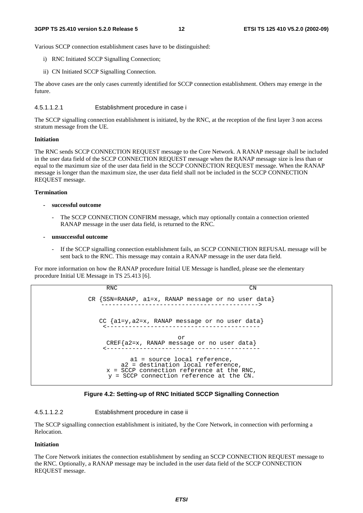Various SCCP connection establishment cases have to be distinguished:

- i) RNC Initiated SCCP Signalling Connection;
- ii) CN Initiated SCCP Signalling Connection.

The above cases are the only cases currently identified for SCCP connection establishment. Others may emerge in the future.

4.5.1.1.2.1 Establishment procedure in case i

The SCCP signalling connection establishment is initiated, by the RNC, at the reception of the first layer 3 non access stratum message from the UE.

#### **Initiation**

The RNC sends SCCP CONNECTION REQUEST message to the Core Network. A RANAP message shall be included in the user data field of the SCCP CONNECTION REQUEST message when the RANAP message size is less than or equal to the maximum size of the user data field in the SCCP CONNECTION REQUEST message. When the RANAP message is longer than the maximum size, the user data field shall not be included in the SCCP CONNECTION REQUEST message.

#### **Termination**

- **successful outcome** 
	- The SCCP CONNECTION CONFIRM message, which may optionally contain a connection oriented RANAP message in the user data field, is returned to the RNC.
- **unsuccessful outcome** 
	- If the SCCP signalling connection establishment fails, an SCCP CONNECTION REFUSAL message will be sent back to the RNC. This message may contain a RANAP message in the user data field.

For more information on how the RANAP procedure Initial UE Message is handled, please see the elementary procedure Initial UE Message in TS 25.413 [6].

```
RNC CN
CR {SSN=RANAP, a1=x, RANAP message or no user data} 
   -------------------------------------------> 
  CC {a1=y,a2=x, RANAP message or no user data} 
    <------------------------------------------ 
                       or 
    CREF{a2=x, RANAP message or no user data} 
    <------------------------------------------ 
           a1 = source local reference, 
        a2 = destination local reference, 
    x = SCCP connection reference at the RNC,
     y = SCCP connection reference at the CN.
```


#### 4.5.1.1.2.2 Establishment procedure in case ii

The SCCP signalling connection establishment is initiated, by the Core Network, in connection with performing a Relocation.

#### **Initiation**

The Core Network initiates the connection establishment by sending an SCCP CONNECTION REQUEST message to the RNC. Optionally, a RANAP message may be included in the user data field of the SCCP CONNECTION REQUEST message.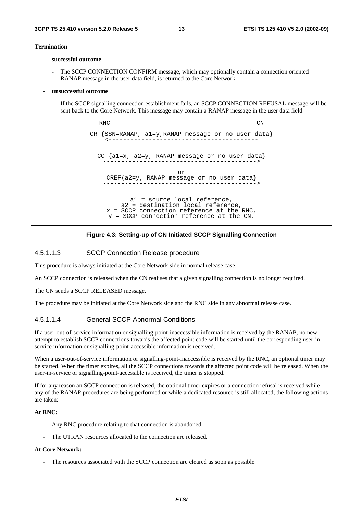#### **Termination**

- **successful outcome** 
	- The SCCP CONNECTION CONFIRM message, which may optionally contain a connection oriented RANAP message in the user data field, is returned to the Core Network.
- **unsuccessful outcome** 
	- If the SCCP signalling connection establishment fails, an SCCP CONNECTION REFUSAL message will be sent back to the Core Network. This message may contain a RANAP message in the user data field.

RNC CN CR {SSN=RANAP, a1=y,RANAP message or no user data} <----------------------------------------- CC {a1=x, a2=y, RANAP message or no user data} ------------------------------------------> or CREF{a2=y, RANAP message or no user data} ------------------------------------------> a1 = source local reference, a2 = destination local reference, x = SCCP connection reference at the RNC, y = SCCP connection reference at the CN.



#### 4.5.1.1.3 SCCP Connection Release procedure

This procedure is always initiated at the Core Network side in normal release case.

An SCCP connection is released when the CN realises that a given signalling connection is no longer required.

The CN sends a SCCP RELEASED message.

The procedure may be initiated at the Core Network side and the RNC side in any abnormal release case.

#### 4.5.1.1.4 General SCCP Abnormal Conditions

If a user-out-of-service information or signalling-point-inaccessible information is received by the RANAP, no new attempt to establish SCCP connections towards the affected point code will be started until the corresponding user-inservice information or signalling-point-accessible information is received.

When a user-out-of-service information or signalling-point-inaccessible is received by the RNC, an optional timer may be started. When the timer expires, all the SCCP connections towards the affected point code will be released. When the user-in-service or signalling-point-accessible is received, the timer is stopped.

If for any reason an SCCP connection is released, the optional timer expires or a connection refusal is received while any of the RANAP procedures are being performed or while a dedicated resource is still allocated, the following actions are taken:

#### **At RNC:**

- Any RNC procedure relating to that connection is abandoned.
- The UTRAN resources allocated to the connection are released.

#### **At Core Network:**

The resources associated with the SCCP connection are cleared as soon as possible.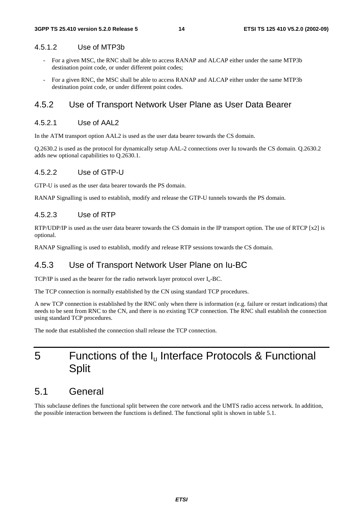#### 4.5.1.2 Use of MTP3b

- For a given MSC, the RNC shall be able to access RANAP and ALCAP either under the same MTP3b destination point code, or under different point codes;
- For a given RNC, the MSC shall be able to access RANAP and ALCAP either under the same MTP3b destination point code, or under different point codes.

#### 4.5.2 Use of Transport Network User Plane as User Data Bearer

#### 4.5.2.1 Use of AAL2

In the ATM transport option AAL2 is used as the user data bearer towards the CS domain.

Q.2630.2 is used as the protocol for dynamically setup AAL-2 connections over Iu towards the CS domain. Q.2630.2 adds new optional capabilities to Q.2630.1.

#### 4.5.2.2 Use of GTP-U

GTP-U is used as the user data bearer towards the PS domain.

RANAP Signalling is used to establish, modify and release the GTP-U tunnels towards the PS domain.

#### 4.5.2.3 Use of RTP

RTP/UDP/IP is used as the user data bearer towards the CS domain in the IP transport option. The use of RTCP [x2] is optional.

RANAP Signalling is used to establish, modify and release RTP sessions towards the CS domain.

#### 4.5.3 Use of Transport Network User Plane on Iu-BC

TCP/IP is used as the bearer for the radio network layer protocol over  $I_u$ -BC.

The TCP connection is normally established by the CN using standard TCP procedures.

A new TCP connection is established by the RNC only when there is information (e.g. failure or restart indications) that needs to be sent from RNC to the CN, and there is no existing TCP connection. The RNC shall establish the connection using standard TCP procedures.

The node that established the connection shall release the TCP connection.

## 5 Functions of the I<sub>u</sub> Interface Protocols & Functional **Split**

### 5.1 General

This subclause defines the functional split between the core network and the UMTS radio access network. In addition, the possible interaction between the functions is defined. The functional split is shown in table 5.1.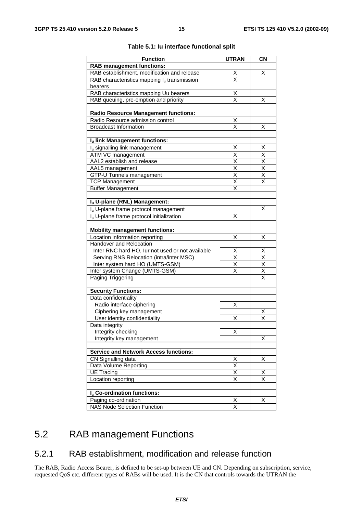| <b>Function</b>                                      | <b>UTRAN</b>                        | <b>CN</b>               |
|------------------------------------------------------|-------------------------------------|-------------------------|
| <b>RAB management functions:</b>                     |                                     |                         |
| RAB establishment, modification and release          |                                     | х                       |
| RAB characteristics mapping $I_u$ transmission       | $\frac{\mathsf{X}}{\mathsf{X}}$     |                         |
| bearers                                              |                                     |                         |
| RAB characteristics mapping Uu bearers               |                                     |                         |
| RAB queuing, pre-emption and priority                | $\frac{\mathsf{X}}{\mathsf{X}}$     | х                       |
|                                                      |                                     |                         |
| <b>Radio Resource Management functions:</b>          |                                     |                         |
| Radio Resource admission control                     | <u>X</u>                            |                         |
| <b>Broadcast Information</b>                         | $\overline{\mathsf{x}}$             | Χ                       |
|                                                      |                                     |                         |
| Iu link Management functions:                        |                                     |                         |
| I <sub>u</sub> signalling link management            | Χ                                   | X                       |
| <b>ATM VC management</b>                             | X                                   | $\overline{\mathsf{X}}$ |
| AAL2 establish and release                           |                                     | $\overline{\mathsf{X}}$ |
| AAL5 management                                      | $\frac{\overline{x}}{\overline{x}}$ | $\overline{\mathsf{x}}$ |
| GTP-U Tunnels management                             | $\overline{\mathsf{x}}$             | X                       |
| <b>TCP Management</b>                                | $\overline{\mathsf{x}}$             | $\overline{\mathsf{x}}$ |
| <b>Buffer Management</b>                             | X                                   |                         |
|                                                      |                                     |                         |
| Iu U-plane (RNL) Management:                         |                                     |                         |
| I <sub>u</sub> U-plane frame protocol management     |                                     | x                       |
| I <sub>u</sub> U-plane frame protocol initialization | X                                   |                         |
|                                                      |                                     |                         |
| <b>Mobility management functions:</b>                |                                     |                         |
| Location information reporting                       | Χ                                   | х                       |
| Handover and Relocation                              |                                     |                         |
| Inter RNC hard HO, lur not used or not available     | X                                   | <u>X</u>                |
| Serving RNS Relocation (intra/inter MSC)             | $\overline{\mathsf{x}}$             | $\overline{\mathsf{x}}$ |
| Inter system hard HO (UMTS-GSM)                      | $\overline{\mathsf{x}}$             | $\overline{\mathsf{x}}$ |
| Inter system Change (UMTS-GSM)                       | X                                   | $\overline{\mathsf{x}}$ |
| Paging Triggering                                    |                                     | $\overline{\mathsf{x}}$ |
|                                                      |                                     |                         |
| <b>Security Functions:</b>                           |                                     |                         |
| Data confidentiality                                 |                                     |                         |
| Radio interface ciphering                            | Χ                                   |                         |
| Ciphering key management                             |                                     | Χ                       |
| User identity confidentiality                        | Χ                                   | X                       |
| Data integrity                                       |                                     |                         |
| Integrity checking                                   | X                                   |                         |
| Integrity key management                             |                                     | Χ                       |
|                                                      |                                     |                         |
| <b>Service and Network Access functions:</b>         |                                     |                         |
| CN Signalling data                                   | $\times$                            | Χ                       |
| Data Volume Reporting                                | $\overline{\mathsf{x}}$             |                         |
| <b>UE Tracing</b>                                    | $\overline{\mathsf{x}}$             | х                       |
| Location reporting                                   | $\overline{\mathsf{x}}$             | $\overline{\mathsf{x}}$ |
|                                                      |                                     |                         |
| I <sub>u</sub> Co-ordination functions:              |                                     |                         |
| Paging co-ordination                                 | х                                   | х                       |
| <b>NAS Node Selection Function</b>                   | X                                   |                         |

#### **Table 5.1: Iu interface functional split**

## 5.2 RAB management Functions

### 5.2.1 RAB establishment, modification and release function

The RAB, Radio Access Bearer, is defined to be set-up between UE and CN. Depending on subscription, service, requested QoS etc. different types of RABs will be used. It is the CN that controls towards the UTRAN the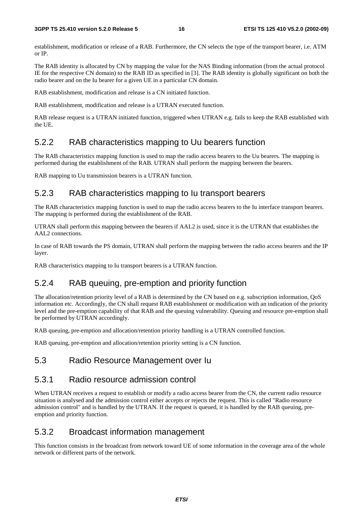establishment, modification or release of a RAB. Furthermore, the CN selects the type of the transport bearer, i.e. ATM or IP.

The RAB identity is allocated by CN by mapping the value for the NAS Binding information (from the actual protocol IE for the respective CN domain) to the RAB ID as specified in [3]. The RAB identity is globally significant on both the radio bearer and on the Iu bearer for a given UE in a particular CN domain.

RAB establishment, modification and release is a CN initiated function.

RAB establishment, modification and release is a UTRAN executed function.

RAB release request is a UTRAN initiated function, triggered when UTRAN e.g. fails to keep the RAB established with the UE.

#### 5.2.2 RAB characteristics mapping to Uu bearers function

The RAB characteristics mapping function is used to map the radio access bearers to the Uu bearers. The mapping is performed during the establishment of the RAB. UTRAN shall perform the mapping between the bearers.

RAB mapping to Uu transmission bearers is a UTRAN function.

#### 5.2.3 RAB characteristics mapping to Iu transport bearers

The RAB characteristics mapping function is used to map the radio access bearers to the Iu interface transport bearers. The mapping is performed during the establishment of the RAB.

UTRAN shall perform this mapping between the bearers if AAL2 is used, since it is the UTRAN that establishes the AAL2 connections.

In case of RAB towards the PS domain, UTRAN shall perform the mapping between the radio access bearers and the IP layer.

RAB characteristics mapping to Iu transport bearers is a UTRAN function.

### 5.2.4 RAB queuing, pre-emption and priority function

The allocation/retention priority level of a RAB is determined by the CN based on e.g. subscription information, QoS information etc. Accordingly, the CN shall request RAB establishment or modification with an indication of the priority level and the pre-emption capability of that RAB and the queuing vulnerability. Queuing and resource pre-emption shall be performed by UTRAN accordingly.

RAB queuing, pre-emption and allocation/retention priority handling is a UTRAN controlled function.

RAB queuing, pre-emption and allocation/retention priority setting is a CN function.

#### 5.3 Radio Resource Management over Iu

#### 5.3.1 Radio resource admission control

When UTRAN receives a request to establish or modify a radio access bearer from the CN, the current radio resource situation is analysed and the admission control either accepts or rejects the request. This is called "Radio resource admission control" and is handled by the UTRAN. If the request is queued, it is handled by the RAB queuing, preemption and priority function.

#### 5.3.2 Broadcast information management

This function consists in the broadcast from network toward UE of some information in the coverage area of the whole network or different parts of the network.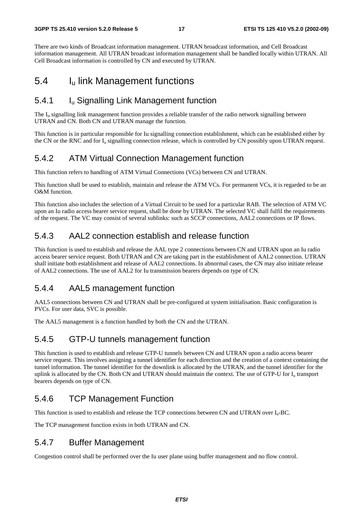There are two kinds of Broadcast information management. UTRAN broadcast information, and Cell Broadcast information management. All UTRAN broadcast information management shall be handled locally within UTRAN. All Cell Broadcast information is controlled by CN and executed by UTRAN.

### 5.4 Iu link Management functions

### 5.4.1 Iu Signalling Link Management function

The  $I<sub>u</sub>$  signalling link management function provides a reliable transfer of the radio network signalling between UTRAN and CN. Both CN and UTRAN manage the function.

This function is in particular responsible for Iu signalling connection establishment, which can be established either by the CN or the RNC and for  $I_u$  signalling connection release, which is controlled by CN possibly upon UTRAN request.

### 5.4.2 ATM Virtual Connection Management function

This function refers to handling of ATM Virtual Connections (VCs) between CN and UTRAN.

This function shall be used to establish, maintain and release the ATM VCs. For permanent VCs, it is regarded to be an O&M function.

This function also includes the selection of a Virtual Circuit to be used for a particular RAB. The selection of ATM VC upon an Iu radio access bearer service request, shall be done by UTRAN. The selected VC shall fulfil the requirements of the request. The VC may consist of several sublinks: such as SCCP connections, AAL2 connections or IP flows.

### 5.4.3 AAL2 connection establish and release function

This function is used to establish and release the AAL type 2 connections between CN and UTRAN upon an Iu radio access bearer service request. Both UTRAN and CN are taking part in the establishment of AAL2 connection. UTRAN shall initiate both establishment and release of AAL2 connections. In abnormal cases, the CN may also initiate release of AAL2 connections. The use of AAL2 for Iu transmission bearers depends on type of CN.

### 5.4.4 AAL5 management function

AAL5 connections between CN and UTRAN shall be pre-configured at system initialisation. Basic configuration is PVCs. For user data, SVC is possible.

The AAL5 management is a function handled by both the CN and the UTRAN.

### 5.4.5 GTP-U tunnels management function

This function is used to establish and release GTP-U tunnels between CN and UTRAN upon a radio access bearer service request. This involves assigning a tunnel identifier for each direction and the creation of a context containing the tunnel information. The tunnel identifier for the downlink is allocated by the UTRAN, and the tunnel identifier for the uplink is allocated by the CN. Both CN and UTRAN should maintain the context. The use of GTP-U for  $I<sub>u</sub>$  transport bearers depends on type of CN.

### 5.4.6 TCP Management Function

This function is used to establish and release the TCP connections between CN and UTRAN over  $I_u$ -BC.

The TCP management function exists in both UTRAN and CN.

### 5.4.7 Buffer Management

Congestion control shall be performed over the Iu user plane using buffer management and no flow control.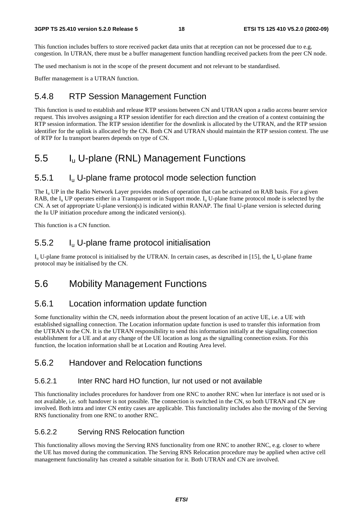This function includes buffers to store received packet data units that at reception can not be processed due to e.g. congestion. In UTRAN, there must be a buffer management function handling received packets from the peer CN node.

The used mechanism is not in the scope of the present document and not relevant to be standardised.

Buffer management is a UTRAN function.

#### 5.4.8 RTP Session Management Function

This function is used to establish and release RTP sessions between CN and UTRAN upon a radio access bearer service request. This involves assigning a RTP session identifier for each direction and the creation of a context containing the RTP session information. The RTP session identifier for the downlink is allocated by the UTRAN, and the RTP session identifier for the uplink is allocated by the CN. Both CN and UTRAN should maintain the RTP session context. The use of RTP for Iu transport bearers depends on type of CN.

### 5.5 Iu U-plane (RNL) Management Functions

#### 5.5.1 Iu U-plane frame protocol mode selection function

The I<sub>u</sub> UP in the Radio Network Layer provides modes of operation that can be activated on RAB basis. For a given RAB, the  $I_{\text{u}}$  UP operates either in a Transparent or in Support mode.  $I_{\text{u}}$  U-plane frame protocol mode is selected by the CN. A set of appropriate U-plane version(s) is indicated within RANAP. The final U-plane version is selected during the Iu UP initiation procedure among the indicated version(s).

This function is a CN function.

#### 5.5.2 Iu U-plane frame protocol initialisation

 $I_{u}$  U-plane frame protocol is initialised by the UTRAN. In certain cases, as described in [15], the  $I_{u}$  U-plane frame protocol may be initialised by the CN.

### 5.6 Mobility Management Functions

#### 5.6.1 Location information update function

Some functionality within the CN, needs information about the present location of an active UE, i.e. a UE with established signalling connection. The Location information update function is used to transfer this information from the UTRAN to the CN. It is the UTRAN responsibility to send this information initially at the signalling connection establishment for a UE and at any change of the UE location as long as the signalling connection exists. For this function, the location information shall be at Location and Routing Area level.

#### 5.6.2 Handover and Relocation functions

#### 5.6.2.1 Inter RNC hard HO function, Iur not used or not available

This functionality includes procedures for handover from one RNC to another RNC when Iur interface is not used or is not available, i.e. soft handover is not possible. The connection is switched in the CN, so both UTRAN and CN are involved. Both intra and inter CN entity cases are applicable. This functionality includes also the moving of the Serving RNS functionality from one RNC to another RNC.

#### 5.6.2.2 Serving RNS Relocation function

This functionality allows moving the Serving RNS functionality from one RNC to another RNC, e.g. closer to where the UE has moved during the communication. The Serving RNS Relocation procedure may be applied when active cell management functionality has created a suitable situation for it. Both UTRAN and CN are involved.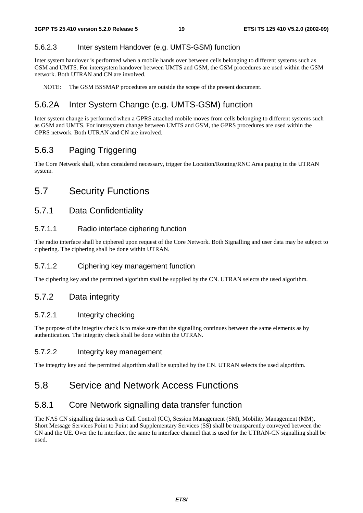#### 5.6.2.3 Inter system Handover (e.g. UMTS-GSM) function

Inter system handover is performed when a mobile hands over between cells belonging to different systems such as GSM and UMTS. For intersystem handover between UMTS and GSM, the GSM procedures are used within the GSM network. Both UTRAN and CN are involved.

NOTE: The GSM BSSMAP procedures are outside the scope of the present document.

### 5.6.2A Inter System Change (e.g. UMTS-GSM) function

Inter system change is performed when a GPRS attached mobile moves from cells belonging to different systems such as GSM and UMTS. For intersystem change between UMTS and GSM, the GPRS procedures are used within the GPRS network. Both UTRAN and CN are involved.

#### 5.6.3 Paging Triggering

The Core Network shall, when considered necessary, trigger the Location/Routing/RNC Area paging in the UTRAN system.

### 5.7 Security Functions

#### 5.7.1 Data Confidentiality

#### 5.7.1.1 Radio interface ciphering function

The radio interface shall be ciphered upon request of the Core Network. Both Signalling and user data may be subject to ciphering. The ciphering shall be done within UTRAN.

#### 5.7.1.2 Ciphering key management function

The ciphering key and the permitted algorithm shall be supplied by the CN. UTRAN selects the used algorithm.

#### 5.7.2 Data integrity

#### 5.7.2.1 Integrity checking

The purpose of the integrity check is to make sure that the signalling continues between the same elements as by authentication. The integrity check shall be done within the UTRAN.

#### 5.7.2.2 Integrity key management

The integrity key and the permitted algorithm shall be supplied by the CN. UTRAN selects the used algorithm.

### 5.8 Service and Network Access Functions

#### 5.8.1 Core Network signalling data transfer function

The NAS CN signalling data such as Call Control (CC), Session Management (SM), Mobility Management (MM), Short Message Services Point to Point and Supplementary Services (SS) shall be transparently conveyed between the CN and the UE. Over the Iu interface, the same Iu interface channel that is used for the UTRAN-CN signalling shall be used.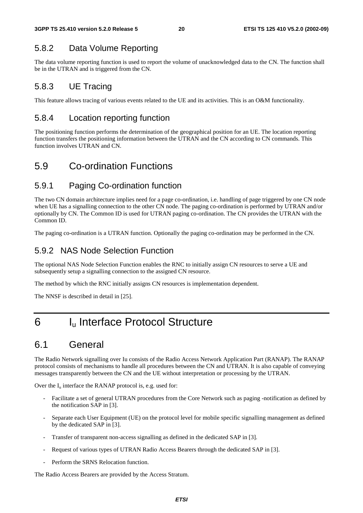### 5.8.2 Data Volume Reporting

The data volume reporting function is used to report the volume of unacknowledged data to the CN. The function shall be in the UTRAN and is triggered from the CN.

### 5.8.3 UE Tracing

This feature allows tracing of various events related to the UE and its activities. This is an O&M functionality.

#### 5.8.4 Location reporting function

The positioning function performs the determination of the geographical position for an UE. The location reporting function transfers the positioning information between the UTRAN and the CN according to CN commands. This function involves UTRAN and CN.

### 5.9 Co-ordination Functions

#### 5.9.1 Paging Co-ordination function

The two CN domain architecture implies need for a page co-ordination, i.e. handling of page triggered by one CN node when UE has a signalling connection to the other CN node. The paging co-ordination is performed by UTRAN and/or optionally by CN. The Common ID is used for UTRAN paging co-ordination. The CN provides the UTRAN with the Common ID.

The paging co-ordination is a UTRAN function. Optionally the paging co-ordination may be performed in the CN.

### 5.9.2 NAS Node Selection Function

The optional NAS Node Selection Function enables the RNC to initially assign CN resources to serve a UE and subsequently setup a signalling connection to the assigned CN resource.

The method by which the RNC initially assigns CN resources is implementation dependent.

The NNSF is described in detail in [25].

## 6 I<sub>u</sub> Interface Protocol Structure

### 6.1 General

The Radio Network signalling over Iu consists of the Radio Access Network Application Part (RANAP). The RANAP protocol consists of mechanisms to handle all procedures between the CN and UTRAN. It is also capable of conveying messages transparently between the CN and the UE without interpretation or processing by the UTRAN.

Over the  $I_u$  interface the RANAP protocol is, e.g. used for:

- Facilitate a set of general UTRAN procedures from the Core Network such as paging -notification as defined by the notification SAP in [3].
- Separate each User Equipment (UE) on the protocol level for mobile specific signalling management as defined by the dedicated SAP in [3].
- Transfer of transparent non-access signalling as defined in the dedicated SAP in [3].
- Request of various types of UTRAN Radio Access Bearers through the dedicated SAP in [3].
- Perform the SRNS Relocation function.

The Radio Access Bearers are provided by the Access Stratum.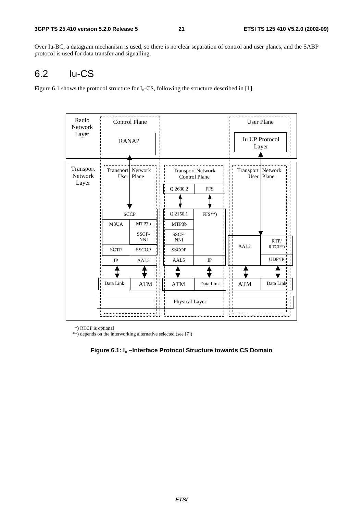Over Iu-BC, a datagram mechanism is used, so there is no clear separation of control and user planes, and the SABP protocol is used for data transfer and signalling.

## 6.2 Iu-CS

Figure 6.1 shows the protocol structure for  $I_u$ -CS, following the structure described in [1].

| Radio<br><b>Network</b> |                              | <b>Control Plane</b> |            |                     |                                                  |                | <b>User Plane</b>   |                            |
|-------------------------|------------------------------|----------------------|------------|---------------------|--------------------------------------------------|----------------|---------------------|----------------------------|
| Layer                   | <b>RANAP</b>                 |                      |            |                     |                                                  |                |                     | Iu UP Protocol<br>Layer    |
| Transport<br>Network    | Transport Network            | User   Plane         |            |                     | <b>Transport Network</b><br><b>Control Plane</b> |                | Transport   Network | $\overline{U}$ ser   Plane |
| Layer                   |                              |                      |            | Q.2630.2            | <b>FFS</b>                                       |                |                     |                            |
|                         |                              |                      |            |                     |                                                  |                |                     |                            |
|                         |                              | <b>SCCP</b>          |            | Q.2150.1            | $FFS**$                                          |                |                     |                            |
|                         | M3UA                         | MTP3b                |            | MTP3b               |                                                  |                |                     |                            |
|                         |                              | SSCF-<br><b>NNI</b>  |            | SSCF-<br><b>NNI</b> |                                                  |                |                     | RTP/                       |
|                         | <b>SCTP</b>                  | <b>SSCOP</b>         |            | <b>SSCOP</b>        |                                                  |                | AAL <sub>2</sub>    | $RTCP*)$                   |
|                         | $_{\text{IP}}$               | AAL5                 |            | AAL5                | IP                                               |                |                     | UDP/IP                     |
|                         |                              |                      |            |                     |                                                  |                |                     |                            |
|                         | Data Link<br>$\mathbf{I}$    | ATM                  | <b>ATM</b> | Data Link           |                                                  | <b>ATM</b>     | Data Link           |                            |
|                         | $\mathbf{I}$<br>$\mathbf{1}$ |                      |            | Physical Layer      |                                                  | $\blacksquare$ |                     |                            |
|                         |                              |                      |            |                     |                                                  |                |                     |                            |

\*) RTCP is optional

\*\*) depends on the interworking alternative selected (see [7])

**Figure 6.1: Iu –Interface Protocol Structure towards CS Domain**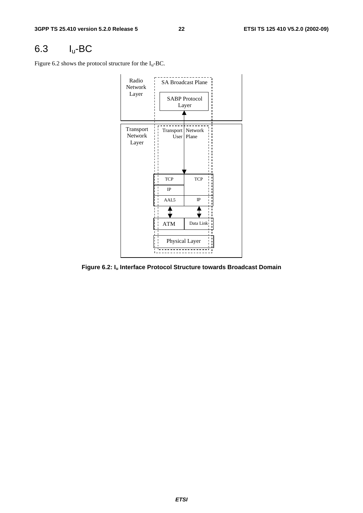## 6.3 Iu-BC

Figure 6.2 shows the protocol structure for the  $I_u$ -BC.



**Figure 6.2: Iu Interface Protocol Structure towards Broadcast Domain**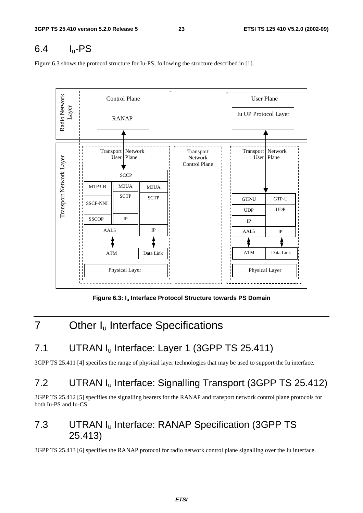### $6.4$  I<sub>u</sub>-PS

Figure 6.3 shows the protocol structure for Iu-PS, following the structure described in [1].



**Figure 6.3: Iu Interface Protocol Structure towards PS Domain** 

## 7 Other I<sub>u</sub> Interface Specifications

## 7.1 UTRAN I<sub>u</sub> Interface: Layer 1 (3GPP TS 25.411)

3GPP TS 25.411 [4] specifies the range of physical layer technologies that may be used to support the Iu interface.

## 7.2 UTRAN I<sub>u</sub> Interface: Signalling Transport (3GPP TS 25.412)

3GPP TS 25.412 [5] specifies the signalling bearers for the RANAP and transport network control plane protocols for both Iu-PS and Iu-CS.

### 7.3 UTRAN I<sub>u</sub> Interface: RANAP Specification (3GPP TS 25.413)

3GPP TS 25.413 [6] specifies the RANAP protocol for radio network control plane signalling over the Iu interface.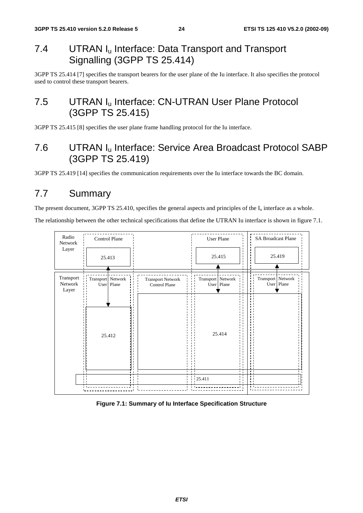### 7.4 UTRAN I<sub>u</sub> Interface: Data Transport and Transport Signalling (3GPP TS 25.414)

3GPP TS 25.414 [7] specifies the transport bearers for the user plane of the Iu interface. It also specifies the protocol used to control these transport bearers.

### 7.5 UTRAN I<sub>u</sub> Interface: CN-UTRAN User Plane Protocol (3GPP TS 25.415)

3GPP TS 25.415 [8] specifies the user plane frame handling protocol for the Iu interface.

### 7.6 UTRAN Iu Interface: Service Area Broadcast Protocol SABP (3GPP TS 25.419)

3GPP TS 25.419 [14] specifies the communication requirements over the Iu interface towards the BC domain.

### 7.7 Summary

The present document, 3GPP TS 25.410, specifies the general aspects and principles of the  $I_u$  interface as a whole.

The relationship between the other technical specifications that define the UTRAN Iu interface is shown in figure 7.1.



#### **Figure 7.1: Summary of Iu Interface Specification Structure**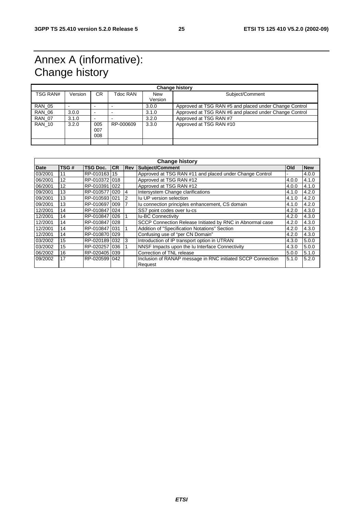## Annex A (informative): Change history

| <b>Change history</b> |         |                          |           |                       |                                                        |  |  |  |
|-----------------------|---------|--------------------------|-----------|-----------------------|--------------------------------------------------------|--|--|--|
| TSG RAN#              | Version | CR.                      | Tdoc RAN  | <b>New</b><br>Version | Subject/Comment                                        |  |  |  |
| <b>RAN 05</b>         |         | $\overline{\phantom{0}}$ |           | 3.0.0                 | Approved at TSG RAN #5 and placed under Change Control |  |  |  |
| <b>RAN 06</b>         | 3.0.0   | $\overline{\phantom{0}}$ |           | 3.1.0                 | Approved at TSG RAN #6 and placed under Change Control |  |  |  |
| <b>RAN 07</b>         | 3.1.0   | $\overline{\phantom{0}}$ |           | 3.2.0                 | Approved at TSG RAN #7                                 |  |  |  |
| <b>RAN 10</b>         | 3.2.0   | 005<br>007<br>800        | RP-000609 | 3.3.0                 | Approved at TSG RAN #10                                |  |  |  |
|                       |         |                          |           |                       |                                                        |  |  |  |

| <b>Change history</b> |      |                 |           |            |                                                                                          |            |            |  |  |  |
|-----------------------|------|-----------------|-----------|------------|------------------------------------------------------------------------------------------|------------|------------|--|--|--|
| <b>Date</b>           | TSG# | <b>TSG Doc.</b> | <b>CR</b> | <b>Rev</b> | Subject/Comment                                                                          | <b>Old</b> | <b>New</b> |  |  |  |
| 03/2001               | 11   | RP-010163 15    |           |            | Approved at TSG RAN #11 and placed under Change Control                                  |            | 4.0.0      |  |  |  |
| 06/2001               | 12   | RP-010372 018   |           |            | Approved at TSG RAN #12                                                                  | 4.0.0      | 4.1.0      |  |  |  |
| 06/2001               | 12   | RP-010391 022   |           |            | Approved at TSG RAN #12                                                                  | 4.0.0      | 4.1.0      |  |  |  |
| 09/2001               | 13   | RP-010577       | 020       | 4          | Intersystem Change clarifications                                                        | 4.1.0      | 4.2.0      |  |  |  |
| 09/2001               | 13   | RP-0105931021   |           | 2          | Iu UP version selection                                                                  | 4.1.0      | 4.2.0      |  |  |  |
| 09/2001               | 13   | RP-0106971009   |           |            | Iu connection principles enhancement, CS domain                                          | 4.1.0      | 4.2.0      |  |  |  |
| 12/2001               | 14   | RP-010847 024   |           |            | SS7 point codes over lu-cs                                                               | 4.2.0      | 4.3.0      |  |  |  |
| 12/2001               | 14   | RP-010847 026   |           |            | <b>Iu-BC Connectivity</b>                                                                | 4.2.0      | 4.3.0      |  |  |  |
| 12/2001               | 14   | RP-010847 028   |           |            | SCCP Connection Release Initiated by RNC in Abnormal case                                | 4.2.0      | 4.3.0      |  |  |  |
| 12/2001               | 14   | RP-010847 031   |           |            | Addition of "Specification Notations" Section                                            | 4.2.0      | 4.3.0      |  |  |  |
| 12/2001               | 14   | RP-010870 029   |           |            | Confusing use of "per CN Domain"                                                         | 4.2.0      | 4.3.0      |  |  |  |
| 03/2002               | 15   | RP-0201891032   |           | 3          | Introduction of IP transport option in UTRAN                                             | 4.3.0      | 5.0.0      |  |  |  |
| 03/2002               | 15   | RP-020257 036   |           |            | NNSF Impacts upon the Iu Interface Connectivity                                          | 4.3.0      | 5.0.0      |  |  |  |
| 06/2002               | 16   | RP-020405 039   |           |            | Correction of TNL release                                                                | 5.0.0      | 5.1.0      |  |  |  |
| 09/2002               | 17   | RP-020599 042   |           |            | 5.2.0<br>Inclusion of RANAP message in RNC initiated SCCP Connection<br>5.1.0<br>Request |            |            |  |  |  |